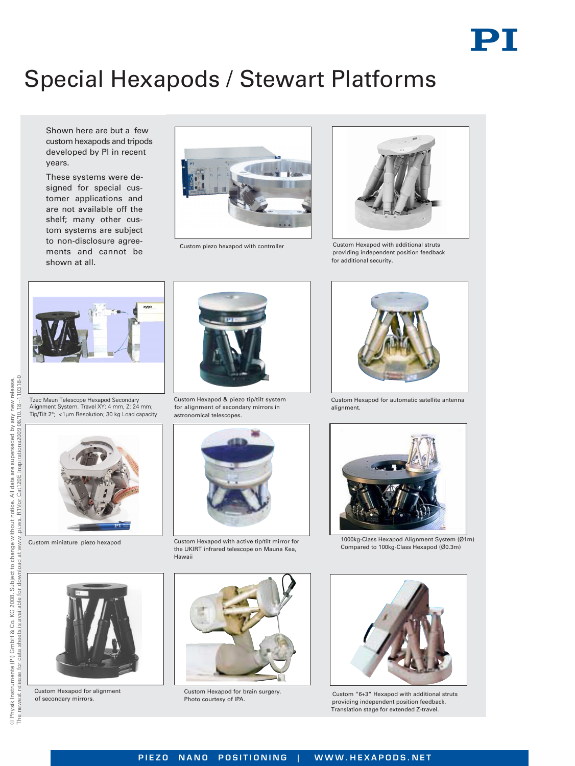# Special Hexapods / Stewart Platforms

Shown here are but a few custom hexapods and tripods developed by PI in recent years.

These systems were designed for special customer applications and are not available off the shelf; many other custom systems are subject to non-disclosure agreements and cannot be shown at all.



Custom piezo hexapod with controller



C ustom Hexapod with additional struts p roviding independent position feedback fo r additional security.



Tzec Maun Telescope Hexapod Secondary Alignment System. Travel XY: 4 mm, Z: 24 mm; Tip/Tilt 2°; <1µm Resolution; 30 kg Load capacity

Custom miniature piezo hexapod

Custom Hexapod for alignment of secondary mirrors.



Custom Hexapod & piezo tip/tilt system for alignment of secondary mirrors in astronomical telescopes.



Custom Hexapod with active tip/tilt mirror for the UKIRT infrared telescope on Mauna Kea, Hawaii



Custom Hexapod for brain surgery. Photo courtesy of IPA.



Custom Hexapod for automatic satellite antenna alignment.



1000kg-Class Hexapod Alignment System (Ø1m) Compared to 100kg-Class Hexapod (Ø0.3m)



Custom "6+3" Hexapod with additional struts providing independent position feedback. Translation stage for extended Z-travel.

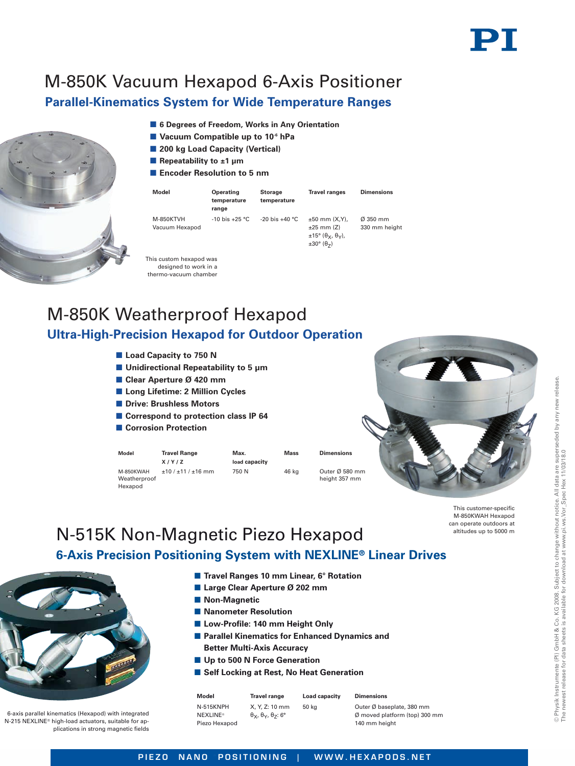# M-850K Vacuum Hexapod 6-Axis Positioner

## **Parallel-Kinematics System for Wide Temperature Ranges**

- **6 Degrees of Freedom, Works in Any Orientation**
- **Vacuum Compatible up to 10-6 hPa**
- 200 kg Load Capacity (Vertical)
- **Repeatability to ±1 µm**
- **Encoder Resolution to 5 nm**

| Model                              | Operating<br>temperature<br>range | <b>Storage</b><br>temperature | <b>Travel ranges</b>                                                                                                            | <b>Dimensions</b>                     |
|------------------------------------|-----------------------------------|-------------------------------|---------------------------------------------------------------------------------------------------------------------------------|---------------------------------------|
| <b>M-850KTVH</b><br>Vacuum Hexapod | $-10$ bis $+25$ °C                | $-20$ bis $+40$ °C            | $±50$ mm $(X,Y)$ .<br>$±25$ mm $(Z)$<br>$\pm 15^\circ$ ( $\theta_X$ , $\theta_V$ ),<br>$\pm 30^\circ$ ( $\theta$ <sub>7</sub> ) | $\varnothing$ 350 mm<br>330 mm height |
| This custom hexapod was            |                                   |                               |                                                                                                                                 |                                       |

# M-850K Weatherproof Hexapod **Ultra-High-Precision Hexapod for Outdoor Operation**

- **Load Capacity to 750 N**
- Unidirectional Repeatability to 5 µm

designed to work in a thermo-vacuum chamber

- **Clear Aperture Ø 420 mm**
- **Long Lifetime: 2 Million Cycles**
- **Drive: Brushless Motors**
- Correspond to protection class IP 64
- **Corrosion Protection**

| Model                                | <b>Travel Range</b><br>X/Y/Z | Max.<br>load capacity | Mass  | <b>Dimensions</b>               |
|--------------------------------------|------------------------------|-----------------------|-------|---------------------------------|
| M-850KWAH<br>Weatherproof<br>Hexanod | $±10/±11/±16$ mm             | 750 N                 | 46 kg | Outer Ø 580 mm<br>height 357 mm |

#### This customer-specific M-850KWAH Hexapod can operate outdoors at altitudes up to 5000 m

## N-515K Non-Magnetic Piezo Hexapod **6-Axis Precision Positioning System with NEXLINE® Linear Drives**



6-axis parallel kinematics (Hexapod) with integrated N-215 NEXLINE® high-load actuators, suitable for applications in strong magnetic fields

- Travel Ranges 10 mm Linear, 6° Rotation
- Large Clear Aperture Ø 202 mm
- $\blacksquare$  Non-Magnetic
- $\blacksquare$  **Nanometer Resolution**
- Low-Profile: 140 mm Height Only
- $\blacksquare$  **Parallel Kinematics for Enhanced Dynamics and Better Multi-Axis Accuracy**
- **Up to 500 N Force Generation**
- Self Locking at Rest, No Heat Generation

| Model                                         | <b>Travel range</b>                                         | Load capacity | <b>Dimensions</b>                                                                     |
|-----------------------------------------------|-------------------------------------------------------------|---------------|---------------------------------------------------------------------------------------|
| N-515KNPH<br><b>NEXLINE®</b><br>Piezo Hexapod | X. Y. Z: 10 mm<br>$\theta_X$ , $\theta_Y$ , $\theta_Z$ : 6° | 50 ka         | Outer Ø baseplate, 380 mm<br>$\emptyset$ moved platform (top) 300 mm<br>140 mm height |

release.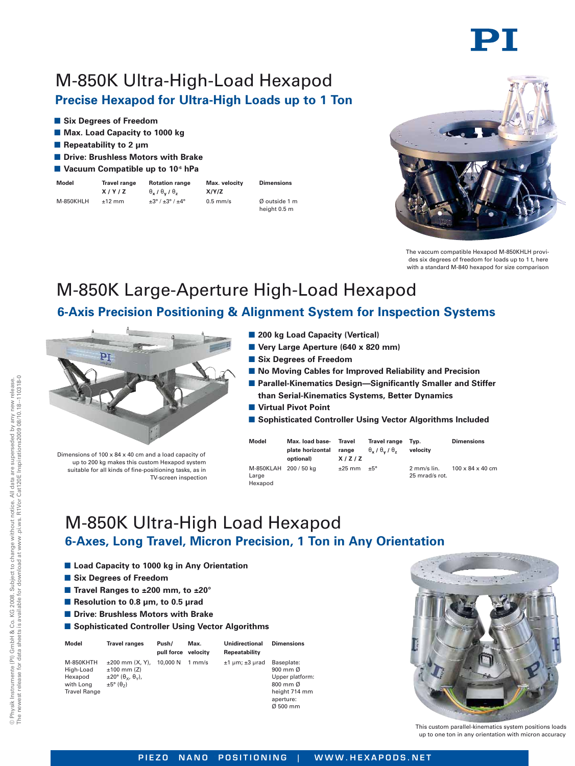# M-850K Ultra-High-Load Hexapod **Precise Hexapod for Ultra-High Loads up to 1 Ton**

- **E** Six Degrees of Freedom
- **Max. Load Capacity to 1000 kg**
- Repeatability to 2 µm
- **Drive: Brushless Motors with Brake**
- **Vacuum Compatible up to 10-6 hPa**
- **Model Travel range Rotation range Max. velocity Dimensions**
- **X** / **Y** / **Z**  $\theta_x$  /  $\theta_y$  /  $\theta_z$  **X** / **Y** / **Z** M-850KHLH ±12 mm ±3° / ±3° / ±4° 0.5 mm/s Ø outside 1 m
	- height 0.5 m

The vaccum compatible Hexapod M-850KHLH provides six degrees of freedom for loads up to 1 t, here with a standard M-840 hexapod for size comparison

# M-850K Large-Aperture High-Load Hexapod

## **6-Axis Precision Positioning & Alignment System for Inspection Systems**



Dimensions of 100 x 84 x 40 cm and a load capacity of up to 200 kg makes this custom Hexapod system suitable for all kinds of fine-positioning tasks, as in TV-screen inspection

- **200 kg Load Capacity (Vertical)**
- **Very Large Aperture (640 x 820 mm)**
- **E** Six Degrees of Freedom
- $\blacksquare$  **No Moving Cables for Improved Reliability and Precision**
- $\blacksquare$  Parallel-Kinematics Design-Significantly Smaller and Stiffer **than Serial-Kinematics Systems, Better Dynamics**
- **No Virtual Pivot Point**
- **E** Sophisticated Controller Using Vector Algorithms Included

| Model                                     | Max. load base-<br>plate horizontal<br>optional) | Travel<br>range<br>X/Z/Z    | <b>Travel range</b><br>$\theta_x$ / $\theta_y$ / $\theta_z$ | Tvp.<br>velocity                            | <b>Dimensions</b>            |
|-------------------------------------------|--------------------------------------------------|-----------------------------|-------------------------------------------------------------|---------------------------------------------|------------------------------|
| M-850KLAH 200 / 50 kg<br>Large<br>Hexanod |                                                  | $\pm 25$ mm $\pm 5^{\circ}$ |                                                             | $2$ mm/s $\mathsf{lin}$ .<br>25 mrad/s rot. | $100 \times 84 \times 40$ cm |

M-850K Ultra-High Load Hexapod **6-Axes, Long Travel, Micron Precision, 1 Ton in Any Orientation**

- Load Capacity to 1000 kg in Any Orientation
- **E** Six Degrees of Freedom
- Travel Ranges to ±200 mm, to ±20°
- Resolution to 0.8 µm, to 0.5 µrad
- **Drive: Brushless Motors with Brake**
- **E** Sophisticated Controller Using Vector Algorithms

| Model                                                                 | <b>Travel ranges</b>                                                                                                                            | Push/<br>pull force | Max.<br>velocity | Unidirectional<br>Repeatability | <b>Dimensions</b>                                                                                                       |
|-----------------------------------------------------------------------|-------------------------------------------------------------------------------------------------------------------------------------------------|---------------------|------------------|---------------------------------|-------------------------------------------------------------------------------------------------------------------------|
| M-850KHTH<br>High-Load<br>Hexapod<br>with Long<br><b>Travel Range</b> | $±200$ mm $(X, Y)$ .<br>$±100$ mm $(Z)$<br>$\pm 20^\circ$ ( $\theta_{\rm v}$ , $\theta_{\rm v}$ ),<br>$\pm 5^{\circ}$ ( $\theta$ <sub>7</sub> ) | 10,000 N            | 1 mm/s           | $±1 \mu m; ±3 \mu rad$          | Baseplate:<br>900 mm Ø<br>Upper platform:<br>$800$ mm $\varnothing$<br>height 714 mm<br>aperture:<br>$\emptyset$ 500 mm |



This custom parallel-kinematics system positions loads up to one ton in any orientation with micron accuracy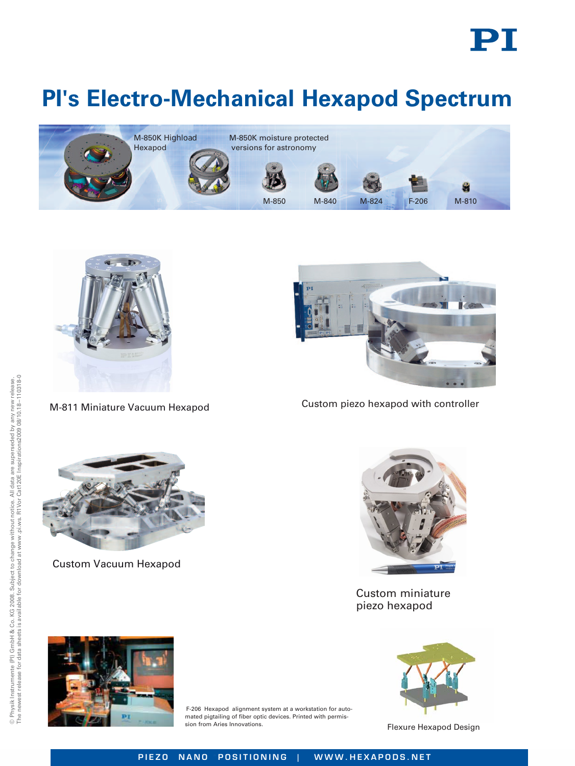

# **PI's Electro-Mechanical Hexapod Spectrum**





M-811 Miniature Vacuum Hexapod



Custom piezo hexapod with controller



Custom Vacuum Hexapod



Custom miniature piezo hexapod



F-206 Hexapod alignment system at a workstation for automated pigtailing of fiber optic devices. Printed with permission from Aries Innovations. The state of the Second Design Flexure Hexapod Design

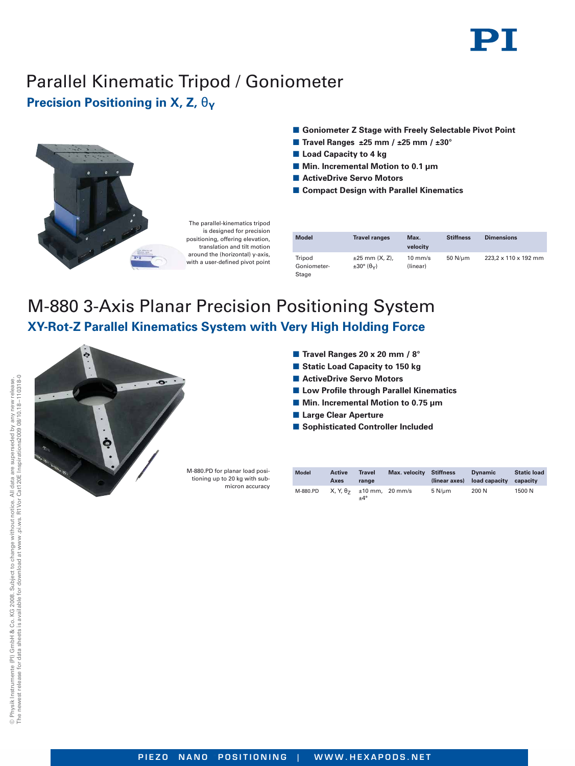# Parallel Kinematic Tripod / Goniometer **Precision Positioning in X, Z, θ<sub>V</sub>**



The parallel-kinematics tripod is designed for precision positioning, offering elevation, translation and tilt motion around the (horizontal) y-axis, with a user-defined pivot point

- **E** Goniometer Z Stage with Freely Selectable Pivot Point
- **Travel Ranges ±25 mm / ±25 mm / ±30°**
- **E** Load Capacity to 4 kg
- **Min. Incremental Motion to 0.1 μm**
- ActiveDrive Servo Motors
- **E** Compact Design with Parallel Kinematics

| <b>Model</b>                   | <b>Travel ranges</b>                                        | Max.<br>velocity              | <b>Stiffness</b> | <b>Dimensions</b>    |
|--------------------------------|-------------------------------------------------------------|-------------------------------|------------------|----------------------|
| Tripod<br>Goniometer-<br>Stage | $±25$ mm $(X, Z)$ ,<br>$\pm 30^{\circ}$ ( $\theta_{\vee}$ ) | $10 \text{ mm/s}$<br>(linear) | 50 $N/\mu$ m     | 223.2 x 110 x 192 mm |

# M-880 3-Axis Planar Precision Positioning System **XY-Rot-Z Parallel Kinematics System with Very High Holding Force**



|  | <b>Travel Ranges 20 x 20 mm / 8°</b> |  |  |  |
|--|--------------------------------------|--|--|--|

- **E** Static Load Capacity to 150 kg
- ActiveDrive Servo Motors
- $\blacksquare$  **Low Profile through Parallel Kinematics**
- **Min. Incremental Motion to 0.75 μm**
- **E** Large Clear Aperture
- **E** Sophisticated Controller Included

M-880.PD for planar load positioning up to 20 kg with submicron accuracy

| <b>Model</b> | Active<br>Axes | Travel<br>range                           | Max. velocity Stiffness |        | <b>Dynamic</b><br>(linear axes) load capacity | <b>Static load</b><br>capacity |
|--------------|----------------|-------------------------------------------|-------------------------|--------|-----------------------------------------------|--------------------------------|
| M-880.PD     |                | $X, Y, θ7 = 10$ mm, 20 mm/s<br>$+4^\circ$ |                         | 5 N/um | 200 N                                         | 1500 N                         |